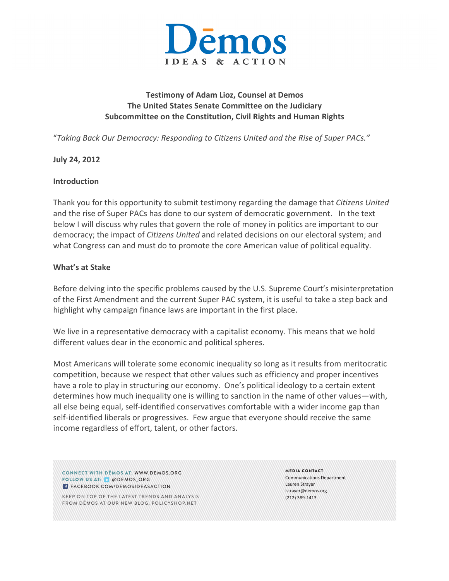

## **Testimony of Adam Lioz, Counsel at Demos The United States Senate Committee on the Judiciary** Subcommittee on the Constitution, Civil Rights and Human Rights

"*Taking Back Our Democracy: Responding to Citizens United and the Rise of Super PACs."*

#### **July 24, 2012**

#### **Introduction**

Thank you for this opportunity to submit testimony regarding the damage that *Citizens United* and the rise of Super PACs has done to our system of democratic government. In the text below I will discuss why rules that govern the role of money in politics are important to our democracy; the impact of *Citizens United* and related decisions on our electoral system; and what Congress can and must do to promote the core American value of political equality.

#### **What's at Stake**

Before delving into the specific problems caused by the U.S. Supreme Court's misinterpretation of the First Amendment and the current Super PAC system, it is useful to take a step back and highlight why campaign finance laws are important in the first place.

We live in a representative democracy with a capitalist economy. This means that we hold different values dear in the economic and political spheres.

Most Americans will tolerate some economic inequality so long as it results from meritocratic competition, because we respect that other values such as efficiency and proper incentives have a role to play in structuring our economy. One's political ideology to a certain extent determines how much inequality one is willing to sanction in the name of other values—with, all else being equal, self-identified conservatives comfortable with a wider income gap than self-identified liberals or progressives. Few argue that everyone should receive the same income regardless of effort, talent, or other factors.

CONNECT WITH DĒMOS AT: WWW.DEMOS.ORG FOLLOW US AT: @ @DEMOS\_ORG **FACEBOOK.COM/DEMOSIDEASACTION** 

KEEP ON TOP OF THE LATEST TRENDS AND ANALYSIS FROM DĒMOS AT OUR NEW BLOG, POLICYSHOP.NET

MEDIA CONTACT **Communications Department** Lauren Strayer lstrayer@demos.org (212) 389-1413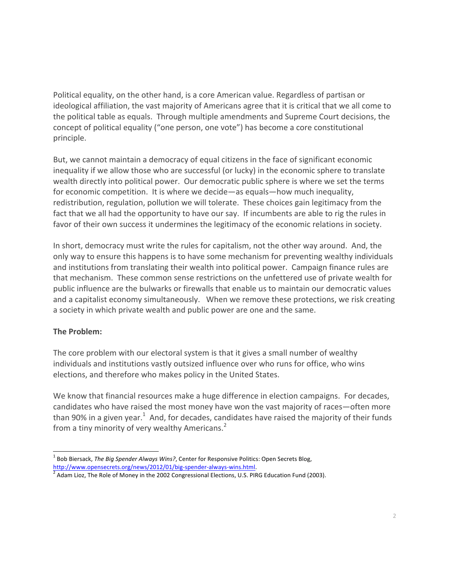Political equality, on the other hand, is a core American value. Regardless of partisan or ideological affiliation, the vast majority of Americans agree that it is critical that we all come to the political table as equals. Through multiple amendments and Supreme Court decisions, the concept of political equality ("one person, one vote") has become a core constitutional principle.

But, we cannot maintain a democracy of equal citizens in the face of significant economic inequality if we allow those who are successful (or lucky) in the economic sphere to translate wealth directly into political power. Our democratic public sphere is where we set the terms for economic competition. It is where we decide—as equals—how much inequality, redistribution, regulation, pollution we will tolerate. These choices gain legitimacy from the fact that we all had the opportunity to have our say. If incumbents are able to rig the rules in favor of their own success it undermines the legitimacy of the economic relations in society.

In short, democracy must write the rules for capitalism, not the other way around. And, the only way to ensure this happens is to have some mechanism for preventing wealthy individuals and institutions from translating their wealth into political power. Campaign finance rules are that mechanism. These common sense restrictions on the unfettered use of private wealth for public influence are the bulwarks or firewalls that enable us to maintain our democratic values and a capitalist economy simultaneously. When we remove these protections, we risk creating a society in which private wealth and public power are one and the same.

## **The Problem:**

The core problem with our electoral system is that it gives a small number of wealthy individuals and institutions vastly outsized influence over who runs for office, who wins elections, and therefore who makes policy in the United States.

We know that financial resources make a huge difference in election campaigns. For decades, candidates who have raised the most money have won the vast majority of races—often more than 90% in a given year.<sup>1</sup> And, for decades, candidates have raised the majority of their funds from a tiny minority of very wealthy Americans.<sup>2</sup>

<sup>&</sup>lt;sup>1</sup> Bob Biersack, *The Big Spender Always Wins?*, Center for Responsive Politics: Open Secrets Blog, http://www.opensecrets.org/news/2012/01/big-spender-always-wins.html.<br> $^2$  Adam Lioz, The Role of Money in the 2002 Congressional Elections, U.S. PIRG Education Fund (2003).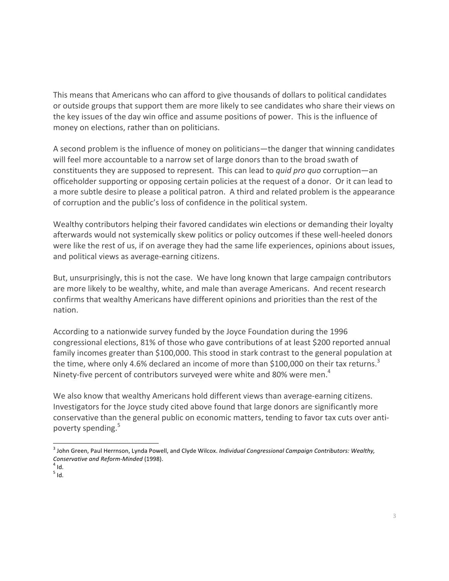This means that Americans who can afford to give thousands of dollars to political candidates or outside groups that support them are more likely to see candidates who share their views on the key issues of the day win office and assume positions of power. This is the influence of money on elections, rather than on politicians.

A second problem is the influence of money on politicians—the danger that winning candidates will feel more accountable to a narrow set of large donors than to the broad swath of constituents they are supposed to represent. This can lead to *quid pro quo* corruption—an officeholder supporting or opposing certain policies at the request of a donor. Or it can lead to a more subtle desire to please a political patron. A third and related problem is the appearance of corruption and the public's loss of confidence in the political system.

Wealthy contributors helping their favored candidates win elections or demanding their loyalty afterwards would not systemically skew politics or policy outcomes if these well-heeled donors were like the rest of us, if on average they had the same life experiences, opinions about issues, and political views as average-earning citizens.

But, unsurprisingly, this is not the case. We have long known that large campaign contributors are more likely to be wealthy, white, and male than average Americans. And recent research confirms that wealthy Americans have different opinions and priorities than the rest of the nation.

According to a nationwide survey funded by the Joyce Foundation during the 1996 congressional elections, 81% of those who gave contributions of at least \$200 reported annual family incomes greater than \$100,000. This stood in stark contrast to the general population at the time, where only 4.6% declared an income of more than \$100,000 on their tax returns.<sup>3</sup> Ninety-five percent of contributors surveyed were white and 80% were men.<sup>4</sup>

We also know that wealthy Americans hold different views than average-earning citizens. Investigators for the Joyce study cited above found that large donors are significantly more conservative than the general public on economic matters, tending to favor tax cuts over antipoverty spending.<sup>5</sup>

<sup>&</sup>lt;sup>3</sup> John Green, Paul Herrnson, Lynda Powell, and Clyde Wilcox. *Individual Congressional Campaign Contributors: Wealthy, Conservative and Reform-Minded* (1998).<br><sup>4</sup> Id.

 $5$  Id.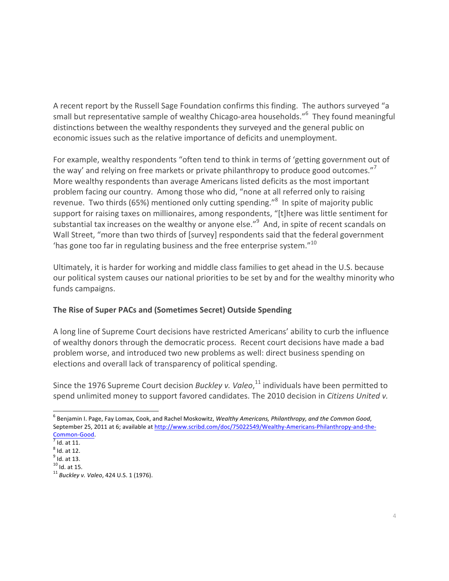A recent report by the Russell Sage Foundation confirms this finding. The authors surveyed "a small but representative sample of wealthy Chicago-area households."<sup>6</sup> They found meaningful distinctions between the wealthy respondents they surveyed and the general public on economic issues such as the relative importance of deficits and unemployment.

For example, wealthy respondents "often tend to think in terms of 'getting government out of the way' and relying on free markets or private philanthropy to produce good outcomes."<sup>7</sup> More wealthy respondents than average Americans listed deficits as the most important problem facing our country. Among those who did, "none at all referred only to raising revenue. Two thirds (65%) mentioned only cutting spending."<sup>8</sup> In spite of majority public support for raising taxes on millionaires, among respondents, "[t]here was little sentiment for substantial tax increases on the wealthy or anyone else."<sup>9</sup> And, in spite of recent scandals on Wall Street, "more than two thirds of [survey] respondents said that the federal government 'has gone too far in regulating business and the free enterprise system." $10$ 

Ultimately, it is harder for working and middle class families to get ahead in the U.S. because our political system causes our national priorities to be set by and for the wealthy minority who funds campaigns.

# **The Rise of Super PACs and (Sometimes Secret) Outside Spending**

A long line of Supreme Court decisions have restricted Americans' ability to curb the influence of wealthy donors through the democratic process. Recent court decisions have made a bad problem worse, and introduced two new problems as well: direct business spending on elections and overall lack of transparency of political spending.

Since the 1976 Supreme Court decision *Buckley v. Valeo*,<sup>11</sup> individuals have been permitted to spend unlimited money to support favored candidates. The 2010 decision in *Citizens United v.* 

<sup>&</sup>lt;sup>6</sup> Benjamin I. Page, Fay Lomax, Cook, and Rachel Moskowitz, *Wealthy Americans, Philanthropy, and the Common Good,* September 25, 2011 at 6; available at http://www.scribd.com/doc/75022549/Wealthy-Americans-Philanthropy-and-the- $\frac{\text{Common-Good}}{\text{7}}$ .

 $<sup>8</sup>$  Id. at 12.</sup>

 $<sup>9</sup>$  Id. at 13.<br><sup>10</sup> Id. at 15.</sup>

<sup>&</sup>lt;sup>11</sup> Buckley v. Valeo, 424 U.S. 1 (1976).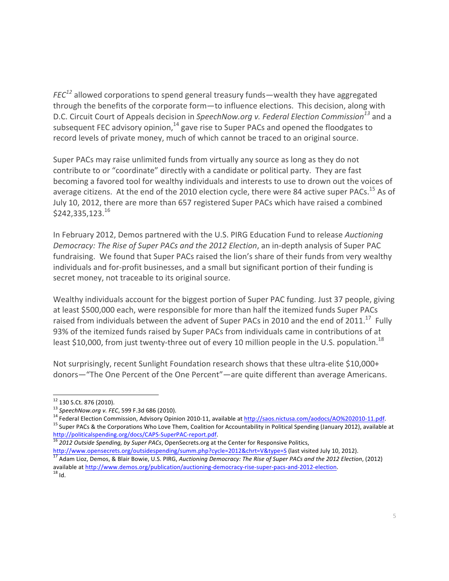*FEC*<sup>12</sup> allowed corporations to spend general treasury funds—wealth they have aggregated through the benefits of the corporate form-to influence elections. This decision, along with D.C. Circuit Court of Appeals decision in SpeechNow.org v. Federal Election Commission<sup>13</sup> and a subsequent FEC advisory opinion, $^{14}$  gave rise to Super PACs and opened the floodgates to record levels of private money, much of which cannot be traced to an original source.

Super PACs may raise unlimited funds from virtually any source as long as they do not contribute to or "coordinate" directly with a candidate or political party. They are fast becoming a favored tool for wealthy individuals and interests to use to drown out the voices of average citizens. At the end of the 2010 election cycle, there were 84 active super PACs.<sup>15</sup> As of July 10, 2012, there are more than 657 registered Super PACs which have raised a combined  $$242,335,123.^{16}$ 

In February 2012, Demos partnered with the U.S. PIRG Education Fund to release Auctioning *Democracy:* The Rise of Super PACs and the 2012 Election, an in-depth analysis of Super PAC fundraising. We found that Super PACs raised the lion's share of their funds from very wealthy individuals and for-profit businesses, and a small but significant portion of their funding is secret money, not traceable to its original source.

Wealthy individuals account for the biggest portion of Super PAC funding. Just 37 people, giving at least \$500,000 each, were responsible for more than half the itemized funds Super PACs raised from individuals between the advent of Super PACs in 2010 and the end of 2011.<sup>17</sup> Fully 93% of the itemized funds raised by Super PACs from individuals came in contributions of at least \$10,000, from just twenty-three out of every 10 million people in the U.S. population.<sup>18</sup>

Not surprisingly, recent Sunlight Foundation research shows that these ultra-elite \$10,000+ donors—"The One Percent of the One Percent"—are quite different than average Americans.

<sup>&</sup>lt;sup>12</sup> 130 S.Ct. 876 (2010).<br><sup>13</sup> SpeechNow.org v. FEC, 599 F.3d 686 (2010).<br><sup>14</sup> Federal Election Commission, Advisory Opinion 2010-11, available at <u>http://saos.nictusa.com/aodocs/AO%202010-11.pdf</u>.<br><sup>15</sup> Super PACs & the C

http://politicalspending.org/docs/CAPS-SuperPAC-report.pdf.<br><sup>16</sup> 2012 Outside Spending, by Super PACs, OpenSecrets.org at the Center for Responsive Politics,

http://www.opensecrets.org/outsidespending/summ.php?cycle=2012&chrt=V&type=S (last visited July 10, 2012).<br><sup>17</sup> Adam Lioz, Demos, & Blair Bowie, U.S. PIRG, Auctioning Democracy: The Rise of Super PACs and the 2012 Election available at http://www.demos.org/publication/auctioning-democracy-rise-super-pacs-and-2012-election.<br><sup>18</sup> Id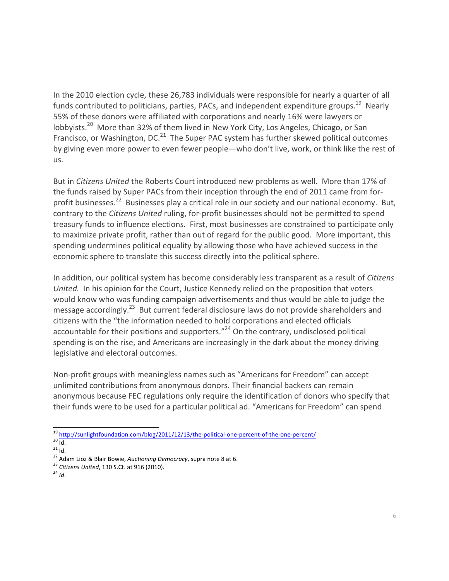In the 2010 election cycle, these 26,783 individuals were responsible for nearly a quarter of all funds contributed to politicians, parties, PACs, and independent expenditure groups.<sup>19</sup> Nearly 55% of these donors were affiliated with corporations and nearly 16% were lawyers or lobbyists.<sup>20</sup> More than 32% of them lived in New York City, Los Angeles, Chicago, or San Francisco, or Washington, DC. $^{21}$  The Super PAC system has further skewed political outcomes by giving even more power to even fewer people—who don't live, work, or think like the rest of us.

But in *Citizens United* the Roberts Court introduced new problems as well. More than 17% of the funds raised by Super PACs from their inception through the end of 2011 came from forprofit businesses.<sup>22</sup> Businesses play a critical role in our society and our national economy. But, contrary to the *Citizens United* ruling, for-profit businesses should not be permitted to spend treasury funds to influence elections. First, most businesses are constrained to participate only to maximize private profit, rather than out of regard for the public good. More important, this spending undermines political equality by allowing those who have achieved success in the economic sphere to translate this success directly into the political sphere.

In addition, our political system has become considerably less transparent as a result of *Citizens United.* In his opinion for the Court, Justice Kennedy relied on the proposition that voters would know who was funding campaign advertisements and thus would be able to judge the message accordingly.<sup>23</sup> But current federal disclosure laws do not provide shareholders and citizens with the "the information needed to hold corporations and elected officials accountable for their positions and supporters." $^{24}$  On the contrary, undisclosed political spending is on the rise, and Americans are increasingly in the dark about the money driving legislative and electoral outcomes.

Non-profit groups with meaningless names such as "Americans for Freedom" can accept unlimited contributions from anonymous donors. Their financial backers can remain anonymous because FEC regulations only require the identification of donors who specify that their funds were to be used for a particular political ad. "Americans for Freedom" can spend

<sup>&</sup>lt;sup>19</sup> http://sunlightfoundation.com/blog/2011/12/13/the-political-one-percent-of-the-one-percent/<br><sup>20</sup> ld.<br><sup>21</sup> ld.<br><sup>22</sup> Adam Lioz & Blair Bowie, *Auctioning Democracy*, supra note 8 at 6.<br><sup>23</sup> Citizens United, 130 S.Ct. a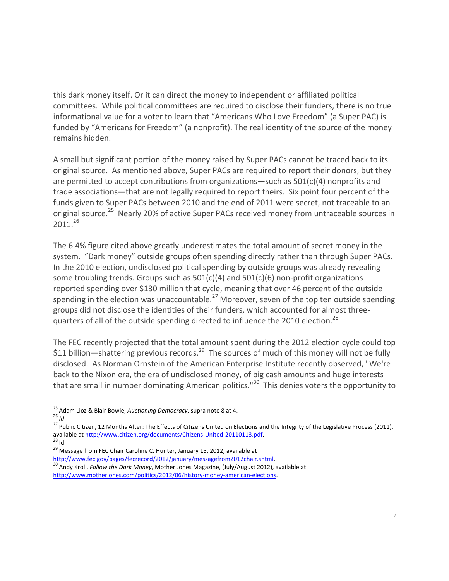this dark money itself. Or it can direct the money to independent or affiliated political committees. While political committees are required to disclose their funders, there is no true informational value for a voter to learn that "Americans Who Love Freedom" (a Super PAC) is funded by "Americans for Freedom" (a nonprofit). The real identity of the source of the money remains hidden.

A small but significant portion of the money raised by Super PACs cannot be traced back to its original source. As mentioned above, Super PACs are required to report their donors, but they are permitted to accept contributions from organizations—such as  $501(c)(4)$  nonprofits and trade associations—that are not legally required to report theirs. Six point four percent of the funds given to Super PACs between 2010 and the end of 2011 were secret, not traceable to an original source.<sup>25</sup> Nearly 20% of active Super PACs received money from untraceable sources in 2011.<sup>26</sup>

The 6.4% figure cited above greatly underestimates the total amount of secret money in the system. "Dark money" outside groups often spending directly rather than through Super PACs. In the 2010 election, undisclosed political spending by outside groups was already revealing some troubling trends. Groups such as  $501(c)(4)$  and  $501(c)(6)$  non-profit organizations reported spending over \$130 million that cycle, meaning that over 46 percent of the outside spending in the election was unaccountable.<sup>27</sup> Moreover, seven of the top ten outside spending groups did not disclose the identities of their funders, which accounted for almost threequarters of all of the outside spending directed to influence the 2010 election.<sup>28</sup>

The FEC recently projected that the total amount spent during the 2012 election cycle could top \$11 billion—shattering previous records.<sup>29</sup> The sources of much of this money will not be fully disclosed. As Norman Ornstein of the American Enterprise Institute recently observed, "We're back to the Nixon era, the era of undisclosed money, of big cash amounts and huge interests that are small in number dominating American politics." $30$  This denies voters the opportunity to

<sup>25</sup> Adam Lioz & Blair Bowie, *Auctioning Democracy*, supra note 8 at 4.<br><sup>26</sup> *Id.*<br><sup>27</sup> Public Citizen, 12 Months After: The Effects of Citizens United on Elections and the Integrity of the Legislative Process (2011),

available at http://www.citizen.org/documents/Citizens-United-20110113.pdf.<br>
<sup>28</sup> Id.<br>
<sup>29</sup> Message from FEC Chair Caroline C. Hunter, January 15, 2012, available at<br>
http://www.fec.gov/pages/fecrecord/2012/january/message

<sup>&</sup>lt;sup>30</sup> Andy Kroll, Follow the Dark Money, Mother Jones Magazine, (July/August 2012), available at http://www.motherjones.com/politics/2012/06/history-money-american-elections.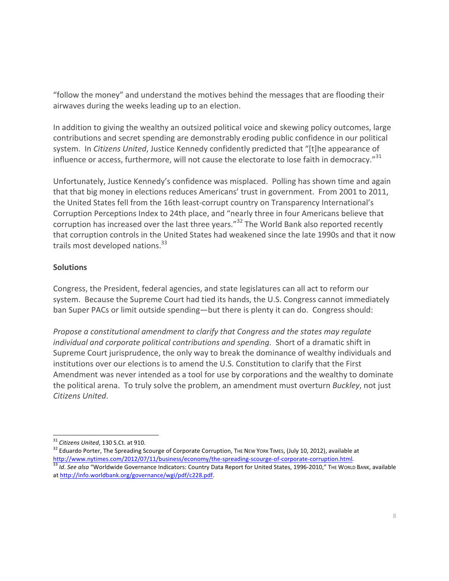"follow the money" and understand the motives behind the messages that are flooding their airwaves during the weeks leading up to an election.

In addition to giving the wealthy an outsized political voice and skewing policy outcomes, large contributions and secret spending are demonstrably eroding public confidence in our political system. In *Citizens United*, Justice Kennedy confidently predicted that "[t]he appearance of influence or access, furthermore, will not cause the electorate to lose faith in democracy." $31$ 

Unfortunately, Justice Kennedy's confidence was misplaced. Polling has shown time and again that that big money in elections reduces Americans' trust in government. From 2001 to 2011, the United States fell from the 16th least-corrupt country on Transparency International's Corruption Perceptions Index to 24th place, and "nearly three in four Americans believe that corruption has increased over the last three years."<sup>32</sup> The World Bank also reported recently that corruption controls in the United States had weakened since the late 1990s and that it now trails most developed nations. $33$ 

## **Solutions**

Congress, the President, federal agencies, and state legislatures can all act to reform our system. Because the Supreme Court had tied its hands, the U.S. Congress cannot immediately ban Super PACs or limit outside spending—but there is plenty it can do. Congress should:

*Propose a constitutional amendment to clarify that Congress and the states may regulate individual and corporate political contributions and spending.* Short of a dramatic shift in Supreme Court jurisprudence, the only way to break the dominance of wealthy individuals and institutions over our elections is to amend the U.S. Constitution to clarify that the First Amendment was never intended as a tool for use by corporations and the wealthy to dominate the political arena. To truly solve the problem, an amendment must overturn *Buckley*, not just *Citizens United*.

<sup>&</sup>lt;sup>31</sup> *Citizens United*, 130 S.Ct. at 910.<br><sup>32</sup> Eduardo Porter, The Spreading Scourge of Corporate Corruption, The New York TIMES, (July 10, 2012), available at<br>http://www.nytimes.com/2012/07/11/business/economy/the-spreadi

<sup>33</sup> Id. See also "Worldwide Governance Indicators: Country Data Report for United States, 1996-2010," THE WORLD BANK, available at http://info.worldbank.org/governance/wgi/pdf/c228.pdf.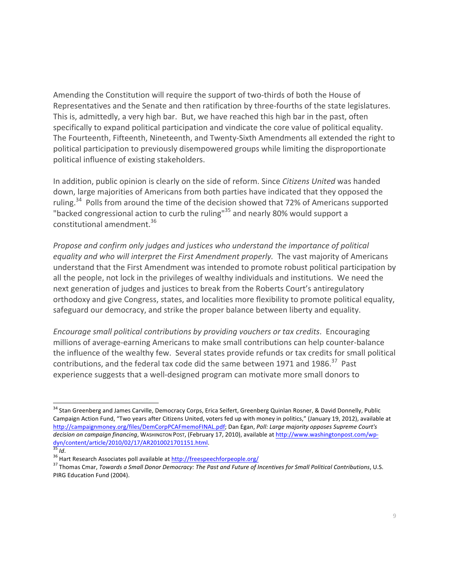Amending the Constitution will require the support of two-thirds of both the House of Representatives and the Senate and then ratification by three-fourths of the state legislatures. This is, admittedly, a very high bar. But, we have reached this high bar in the past, often specifically to expand political participation and vindicate the core value of political equality. The Fourteenth, Fifteenth, Nineteenth, and Twenty-Sixth Amendments all extended the right to political participation to previously disempowered groups while limiting the disproportionate political influence of existing stakeholders.

In addition, public opinion is clearly on the side of reform. Since *Citizens United* was handed down, large majorities of Americans from both parties have indicated that they opposed the ruling.<sup>34</sup> Polls from around the time of the decision showed that 72% of Americans supported "backed congressional action to curb the ruling"<sup>35</sup> and nearly 80% would support a constitutional amendment.<sup>36</sup>

*Propose and confirm only judges and justices who understand the importance of political* equality and who will interpret the First Amendment properly. The vast majority of Americans understand that the First Amendment was intended to promote robust political participation by all the people, not lock in the privileges of wealthy individuals and institutions. We need the next generation of judges and justices to break from the Roberts Court's antiregulatory orthodoxy and give Congress, states, and localities more flexibility to promote political equality, safeguard our democracy, and strike the proper balance between liberty and equality.

*Encourage small political contributions by providing vouchers or tax credits.* Encouraging millions of average-earning Americans to make small contributions can help counter-balance the influence of the wealthy few. Several states provide refunds or tax credits for small political contributions, and the federal tax code did the same between 1971 and 1986.<sup>37</sup> Past experience suggests that a well-designed program can motivate more small donors to

<sup>&</sup>lt;sup>34</sup> Stan Greenberg and James Carville, Democracy Corps, Erica Seifert, Greenberg Quinlan Rosner, & David Donnelly, Public Campaign Action Fund, "Two vears after Citizens United, voters fed up with money in politics," (January 19, 2012), available at http://campaignmoney.org/files/DemCorpPCAFmemoFINAL.pdf; Dan Egan, *Poll: Large majority opposes Supreme Court's* decision on campaign financing, WASHINGTON POST, (February 17, 2010), available at http://www.washingtonpost.com/wpdyn/content/article/2010/02/17/AR2010021701151.html.<br><sup>35</sup> Id.<br><sup>36</sup> Hart Research Associates poll available at <u>http://freespeechforpeople.org/</u><br><sup>37</sup> Thomas Cmar, *Towards a Small Donor Democracy: The Past and Future of Inc* 

PIRG Education Fund (2004).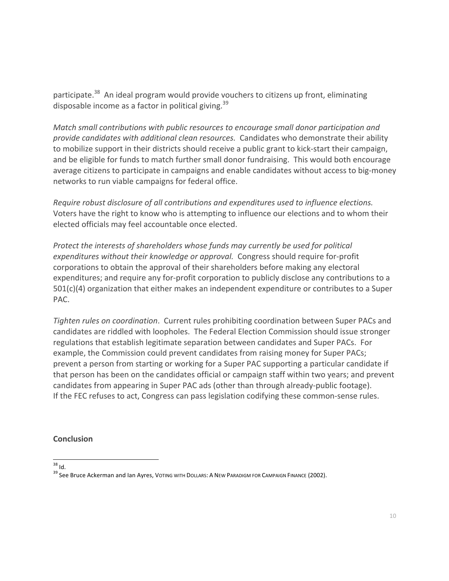participate.<sup>38</sup> An ideal program would provide vouchers to citizens up front, eliminating disposable income as a factor in political giving.<sup>39</sup>

*Match* small contributions with public resources to encourage small donor participation and provide candidates with additional clean resources. Candidates who demonstrate their ability to mobilize support in their districts should receive a public grant to kick-start their campaign, and be eligible for funds to match further small donor fundraising. This would both encourage average citizens to participate in campaigns and enable candidates without access to big-money networks to run viable campaigns for federal office.

*Require robust disclosure of all contributions and expenditures used to influence elections.* Voters have the right to know who is attempting to influence our elections and to whom their elected officials may feel accountable once elected.

*Protect the interests of shareholders whose funds may currently be used for political expenditures* without their knowledge or approval. Congress should require for-profit corporations to obtain the approval of their shareholders before making any electoral expenditures; and require any for-profit corporation to publicly disclose any contributions to a  $501(c)(4)$  organization that either makes an independent expenditure or contributes to a Super PAC.

Tighten rules on coordination. Current rules prohibiting coordination between Super PACs and candidates are riddled with loopholes. The Federal Election Commission should issue stronger regulations that establish legitimate separation between candidates and Super PACs. For example, the Commission could prevent candidates from raising money for Super PACs; prevent a person from starting or working for a Super PAC supporting a particular candidate if that person has been on the candidates official or campaign staff within two years; and prevent candidates from appearing in Super PAC ads (other than through already-public footage). If the FEC refuses to act, Congress can pass legislation codifying these common-sense rules.

#### **Conclusion**

 $^{38}$  ld.<br> $^{39}$  See Bruce Ackerman and lan Ayres, Voting with Dollars: A New Paradigm for Campaign Finance (2002).